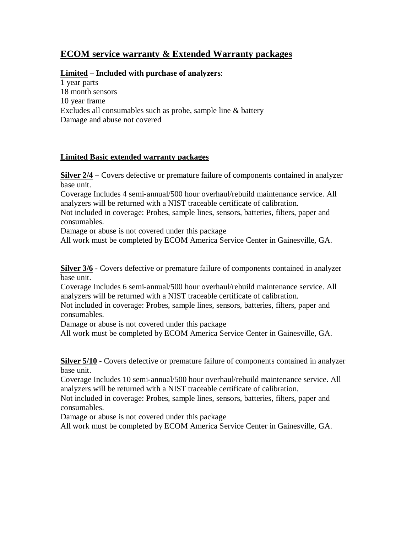# **ECOM service warranty & Extended Warranty packages**

#### **Limited – Included with purchase of analyzers**:

1 year parts 18 month sensors 10 year frame Excludes all consumables such as probe, sample line & battery Damage and abuse not covered

#### **Limited Basic extended warranty packages**

**Silver 2/4 –** Covers defective or premature failure of components contained in analyzer base unit.

Coverage Includes 4 semi-annual/500 hour overhaul/rebuild maintenance service. All analyzers will be returned with a NIST traceable certificate of calibration.

Not included in coverage: Probes, sample lines, sensors, batteries, filters, paper and consumables.

Damage or abuse is not covered under this package

All work must be completed by ECOM America Service Center in Gainesville, GA.

**Silver 3/6 -** Covers defective or premature failure of components contained in analyzer base unit.

Coverage Includes 6 semi-annual/500 hour overhaul/rebuild maintenance service. All analyzers will be returned with a NIST traceable certificate of calibration.

Not included in coverage: Probes, sample lines, sensors, batteries, filters, paper and consumables.

Damage or abuse is not covered under this package

All work must be completed by ECOM America Service Center in Gainesville, GA.

**Silver 5/10 -** Covers defective or premature failure of components contained in analyzer base unit.

Coverage Includes 10 semi-annual/500 hour overhaul/rebuild maintenance service. All analyzers will be returned with a NIST traceable certificate of calibration.

Not included in coverage: Probes, sample lines, sensors, batteries, filters, paper and consumables.

Damage or abuse is not covered under this package

All work must be completed by ECOM America Service Center in Gainesville, GA.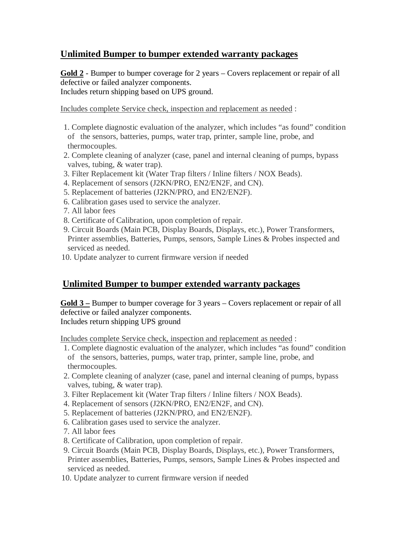# **Unlimited Bumper to bumper extended warranty packages**

**Gold 2** - Bumper to bumper coverage for 2 years – Covers replacement or repair of all defective or failed analyzer components. Includes return shipping based on UPS ground.

Includes complete Service check, inspection and replacement as needed :

- 1. Complete diagnostic evaluation of the analyzer, which includes "as found" condition of the sensors, batteries, pumps, water trap, printer, sample line, probe, and thermocouples.
- 2. Complete cleaning of analyzer (case, panel and internal cleaning of pumps, bypass valves, tubing, & water trap).
- 3. Filter Replacement kit (Water Trap filters / Inline filters / NOX Beads).
- 4. Replacement of sensors (J2KN/PRO, EN2/EN2F, and CN).
- 5. Replacement of batteries (J2KN/PRO, and EN2/EN2F).
- 6. Calibration gases used to service the analyzer.
- 7. All labor fees
- 8. Certificate of Calibration, upon completion of repair.
- 9. Circuit Boards (Main PCB, Display Boards, Displays, etc.), Power Transformers, Printer assemblies, Batteries, Pumps, sensors, Sample Lines & Probes inspected and serviced as needed.
- 10. Update analyzer to current firmware version if needed

# **Unlimited Bumper to bumper extended warranty packages**

**Gold 3 –** Bumper to bumper coverage for 3 years – Covers replacement or repair of all defective or failed analyzer components. Includes return shipping UPS ground

Includes complete Service check, inspection and replacement as needed :

- 1. Complete diagnostic evaluation of the analyzer, which includes "as found" condition of the sensors, batteries, pumps, water trap, printer, sample line, probe, and thermocouples.
- 2. Complete cleaning of analyzer (case, panel and internal cleaning of pumps, bypass valves, tubing, & water trap).
- 3. Filter Replacement kit (Water Trap filters / Inline filters / NOX Beads).
- 4. Replacement of sensors (J2KN/PRO, EN2/EN2F, and CN).
- 5. Replacement of batteries (J2KN/PRO, and EN2/EN2F).
- 6. Calibration gases used to service the analyzer.
- 7. All labor fees
- 8. Certificate of Calibration, upon completion of repair.
- 9. Circuit Boards (Main PCB, Display Boards, Displays, etc.), Power Transformers, Printer assemblies, Batteries, Pumps, sensors, Sample Lines & Probes inspected and serviced as needed.
- 10. Update analyzer to current firmware version if needed